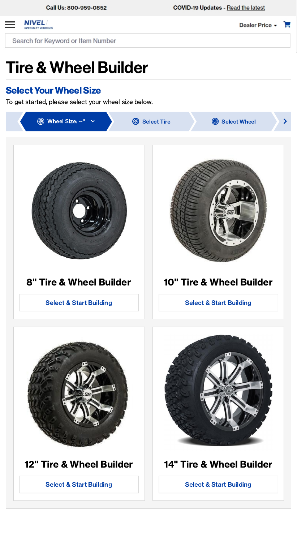

Dealer Price -

Search for Keyword or Item Number

## Tire & Wheel Builder

### **Select Your Wheel Size**

## 12" Tire & Wheel Builder

#### Select & Start Building





## 14" Tire & Wheel Builder

#### Select & Start Building

To get started, please select your wheel size below.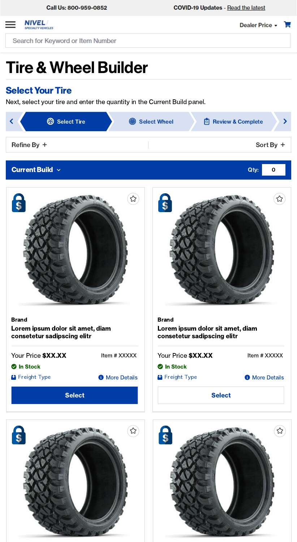

Qty: 0

Search for Keyword or Item Number

# Tire & Wheel Builder

### **Select Your Tire**



Brand Lorem ipsum dolor sit amet, diam consetetur sadipscing elitr





Brand Lorem ipsum dolor sit amet, diam consetetur sadipscing elitr



**O** More Details



Next, select your tire and enter the quantity in the Current Build panel.



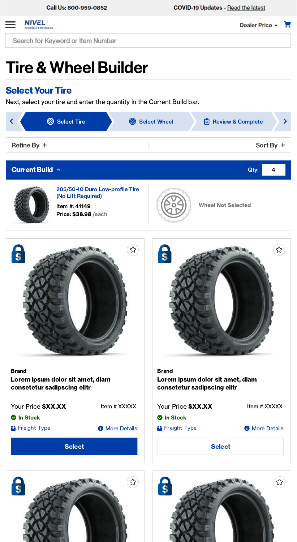

# Tire & Wheel Builder

### **Select Your Tire**

Next, select your tire and enter the quantity in the Current Build bar.

Brand Lorem ipsum dolor sit amet, diam consetetur sadipscing elitr Your Price **\$XX.XX** Item # XXXXX

**2** In Stock

**T** Freight Type

**O** More Details

**Select** 



#### Brand

Lorem ipsum dolor sit amet, diam consetetur sadipscing elitr





| Your Price <b>\$XX.XX</b> | Item # XXXXX          |
|---------------------------|-----------------------|
| <b>2</b> In Stock         |                       |
| <sup>1</sup> Freight Type | <b>O</b> More Details |
| <b>Select</b>             |                       |

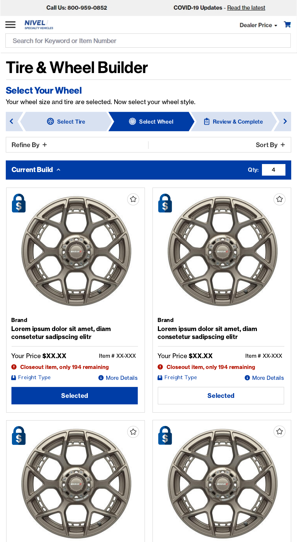

# Tire & Wheel Builder

### **Select Your Wheel**

Your wheel size and tire are selected. Now select your wheel style.



**O** More Details

Brand Lorem ipsum dolor sit amet, diam consetetur sadipscing elitr





Brand Lorem ipsum dolor sit amet, diam consetetur sadipscing elitr







### **Current Build**  $\sim$  **Current Build**  $\sim$  4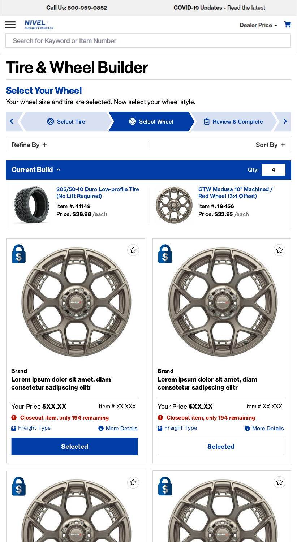

# Tire & Wheel Builder

### **Select Your Wheel**

Your wheel size and tire are selected. Now select your wheel style.

205/50-10 Duro Low-profile Tire (No Lift Required)

Item #: 41149 Price: \$38.98 /each



GTW Medusa 10" Machined / Red Wheel (3:4 Offset)

Item #: 19-156 Price: \$33.95 /each

Brand Lorem ipsum dolor sit amet, diam consetetur sadipscing elitr **Selected**  $\Theta$  Closeout item, only 194 remaining **Freight Type** Your Price **\$XX.XX** Item # XX-XXX **O** More Details





#### **Current Build**  $\sim$  **Current Build**  $\sim$  4





#### Brand

Lorem ipsum dolor sit amet, diam consetetur sadipscing elitr

**Selected**  $\Theta$  Closeout item, only 194 remaining **Freight Type** Your Price **\$XX.XX** Item # XX-XXX **O** More Details